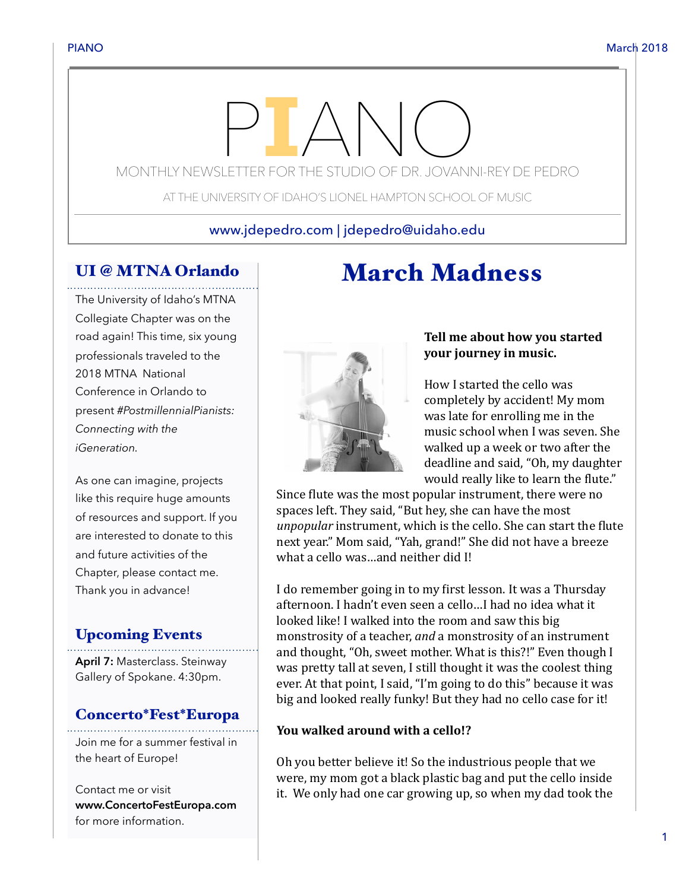# MONTHLY NEWSLETTER FOR THE STUDIO OF DR. JOVANNI-REY DE PEDRO

AT THE UNIVERSITY OF IDAHO'S LIONEL HAMPTON SCHOOL OF MUSIC

### www.jdepedro.com | jdepedro@uidaho.edu

# UI @ MTNA Orlando

The University of Idaho's MTNA Collegiate Chapter was on the road again! This time, six young professionals traveled to the 2018 MTNA National Conference in Orlando to present *#PostmillennialPianists: Connecting with the iGeneration.*

As one can imagine, projects like this require huge amounts of resources and support. If you are interested to donate to this and future activities of the Chapter, please contact me. Thank you in advance!

# Upcoming Events

**April 7:** Masterclass. Steinway Gallery of Spokane. 4:30pm.

#### Concerto\*Fest\*Europa

Join me for a summer festival in the heart of Europe!

Contact me or visit **www.ConcertoFestEuropa.com**  for more information.

# Tell me about how you started **your journey in music.**

How I started the cello was completely by accident! My mom was late for enrolling me in the music school when I was seven. She walked up a week or two after the deadline and said, "Oh, my daughter would really like to learn the flute."

Since flute was the most popular instrument, there were no spaces left. They said, "But hey, she can have the most *unpopular* instrument, which is the cello. She can start the flute next year." Mom said, "Yah, grand!" She did not have a breeze what a cello was...and neither did I!

March Madness

I do remember going in to my first lesson. It was a Thursday afternoon. I hadn't even seen a cello...I had no idea what it looked like! I walked into the room and saw this big monstrosity of a teacher, *and* a monstrosity of an instrument and thought, "Oh, sweet mother. What is this?!" Even though I was pretty tall at seven, I still thought it was the coolest thing ever. At that point, I said, "I'm going to do this" because it was big and looked really funky! But they had no cello case for it!

#### **You walked around with a cello!?**

Oh you better believe it! So the industrious people that we were, my mom got a black plastic bag and put the cello inside it. We only had one car growing up, so when my dad took the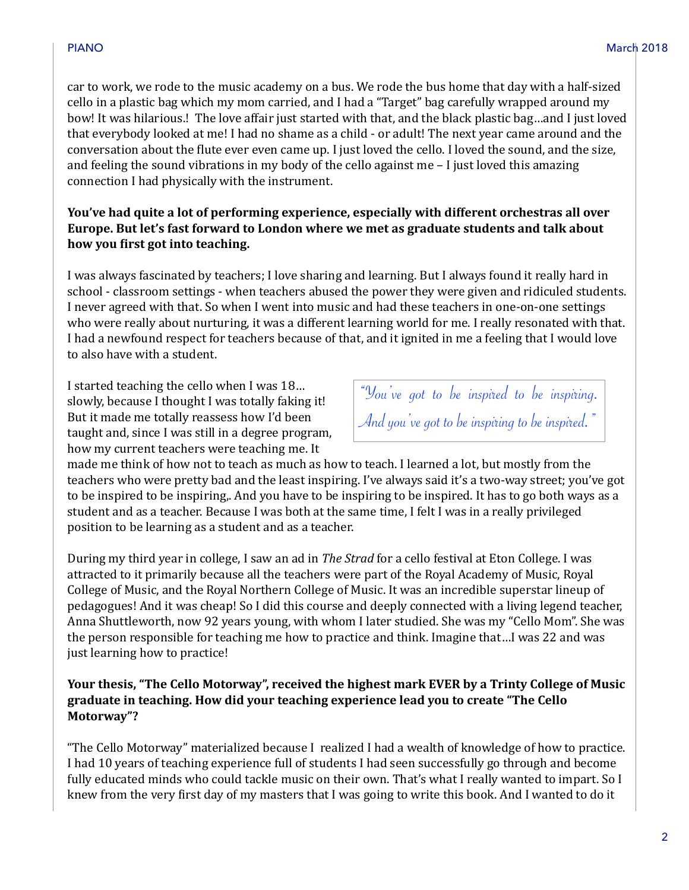car to work, we rode to the music academy on a bus. We rode the bus home that day with a half-sized cello in a plastic bag which my mom carried, and I had a "Target" bag carefully wrapped around my bow! It was hilarious.! The love affair just started with that, and the black plastic bag...and I just loved that everybody looked at me! I had no shame as a child - or adult! The next year came around and the conversation about the flute ever even came up. I just loved the cello. I loved the sound, and the size, and feeling the sound vibrations in my body of the cello against me  $-1$  just loved this amazing connection I had physically with the instrument.

#### You've had quite a lot of performing experience, especially with different orchestras all over Europe. But let's fast forward to London where we met as graduate students and talk about how you first got into teaching.

I was always fascinated by teachers; I love sharing and learning. But I always found it really hard in school - classroom settings - when teachers abused the power they were given and ridiculed students. I never agreed with that. So when I went into music and had these teachers in one-on-one settings who were really about nurturing, it was a different learning world for me. I really resonated with that. I had a newfound respect for teachers because of that, and it ignited in me a feeling that I would love to also have with a student.

I started teaching the cello when I was 18... slowly, because I thought I was totally faking it! But it made me totally reassess how I'd been taught and, since I was still in a degree program, how my current teachers were teaching me. It

"You've got to be inspired to be inspiring. And you've got to be inspiring to be inspired."

made me think of how not to teach as much as how to teach. I learned a lot, but mostly from the teachers who were pretty bad and the least inspiring. I've always said it's a two-way street; you've got to be inspired to be inspiring,. And you have to be inspiring to be inspired. It has to go both ways as a student and as a teacher. Because I was both at the same time, I felt I was in a really privileged position to be learning as a student and as a teacher.

During my third year in college, I saw an ad in *The Strad* for a cello festival at Eton College. I was attracted to it primarily because all the teachers were part of the Royal Academy of Music, Royal College of Music, and the Royal Northern College of Music. It was an incredible superstar lineup of pedagogues! And it was cheap! So I did this course and deeply connected with a living legend teacher, Anna Shuttleworth, now 92 years young, with whom I later studied. She was my "Cello Mom". She was the person responsible for teaching me how to practice and think. Imagine that...I was 22 and was just learning how to practice!

#### **Your thesis, "The Cello Motorway", received the highest mark EVER by a Trinty College of Music graduate in teaching. How did your teaching experience lead you to create "The Cello Motorway"?**

"The Cello Motorway" materialized because I realized I had a wealth of knowledge of how to practice. I had 10 years of teaching experience full of students I had seen successfully go through and become fully educated minds who could tackle music on their own. That's what I really wanted to impart. So I knew from the very first day of my masters that I was going to write this book. And I wanted to do it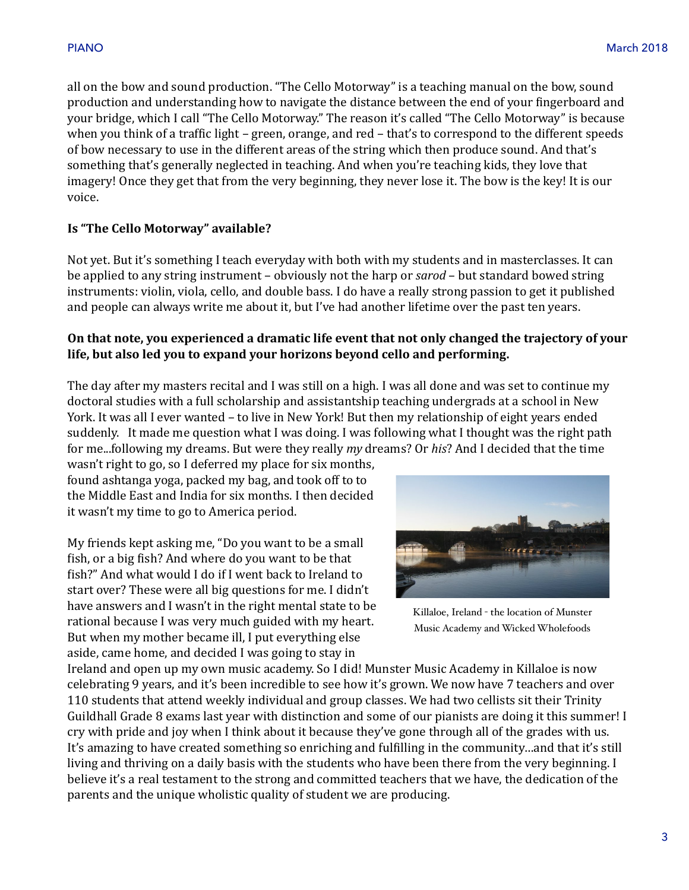all on the bow and sound production. "The Cello Motorway" is a teaching manual on the bow, sound production and understanding how to navigate the distance between the end of your fingerboard and your bridge, which I call "The Cello Motorway." The reason it's called "The Cello Motorway" is because when you think of a traffic light – green, orange, and red – that's to correspond to the different speeds of bow necessary to use in the different areas of the string which then produce sound. And that's something that's generally neglected in teaching. And when you're teaching kids, they love that imagery! Once they get that from the very beginning, they never lose it. The bow is the key! It is our voice. 

#### **Is "The Cello Motorway" available?**

Not yet. But it's something I teach everyday with both with my students and in masterclasses. It can be applied to any string instrument – obviously not the harp or *sarod* – but standard bowed string instruments: violin, viola, cello, and double bass. I do have a really strong passion to get it published and people can always write me about it, but I've had another lifetime over the past ten years.

#### On that note, you experienced a dramatic life event that not only changed the trajectory of your life, but also led you to expand your horizons beyond cello and performing.

The day after my masters recital and I was still on a high. I was all done and was set to continue my doctoral studies with a full scholarship and assistantship teaching undergrads at a school in New York. It was all I ever wanted – to live in New York! But then my relationship of eight years ended suddenly. It made me question what I was doing. I was following what I thought was the right path for me...following my dreams. But were they really *my* dreams? Or *his*? And I decided that the time

wasn't right to go, so I deferred my place for six months, found ashtanga yoga, packed my bag, and took off to to the Middle East and India for six months. I then decided it wasn't my time to go to America period.

My friends kept asking me, "Do you want to be a small fish, or a big fish? And where do you want to be that fish?" And what would I do if I went back to Ireland to start over? These were all big questions for me. I didn't have answers and I wasn't in the right mental state to be rational because I was very much guided with my heart. But when my mother became ill, I put everything else aside, came home, and decided I was going to stay in



Killaloe, Ireland - the location of Munster Music Academy and Wicked Wholefoods

Ireland and open up my own music academy. So I did! Munster Music Academy in Killaloe is now celebrating 9 years, and it's been incredible to see how it's grown. We now have 7 teachers and over 110 students that attend weekly individual and group classes. We had two cellists sit their Trinity Guildhall Grade 8 exams last year with distinction and some of our pianists are doing it this summer! I cry with pride and joy when I think about it because they've gone through all of the grades with us. It's amazing to have created something so enriching and fulfilling in the community...and that it's still living and thriving on a daily basis with the students who have been there from the very beginning. I believe it's a real testament to the strong and committed teachers that we have, the dedication of the parents and the unique wholistic quality of student we are producing.